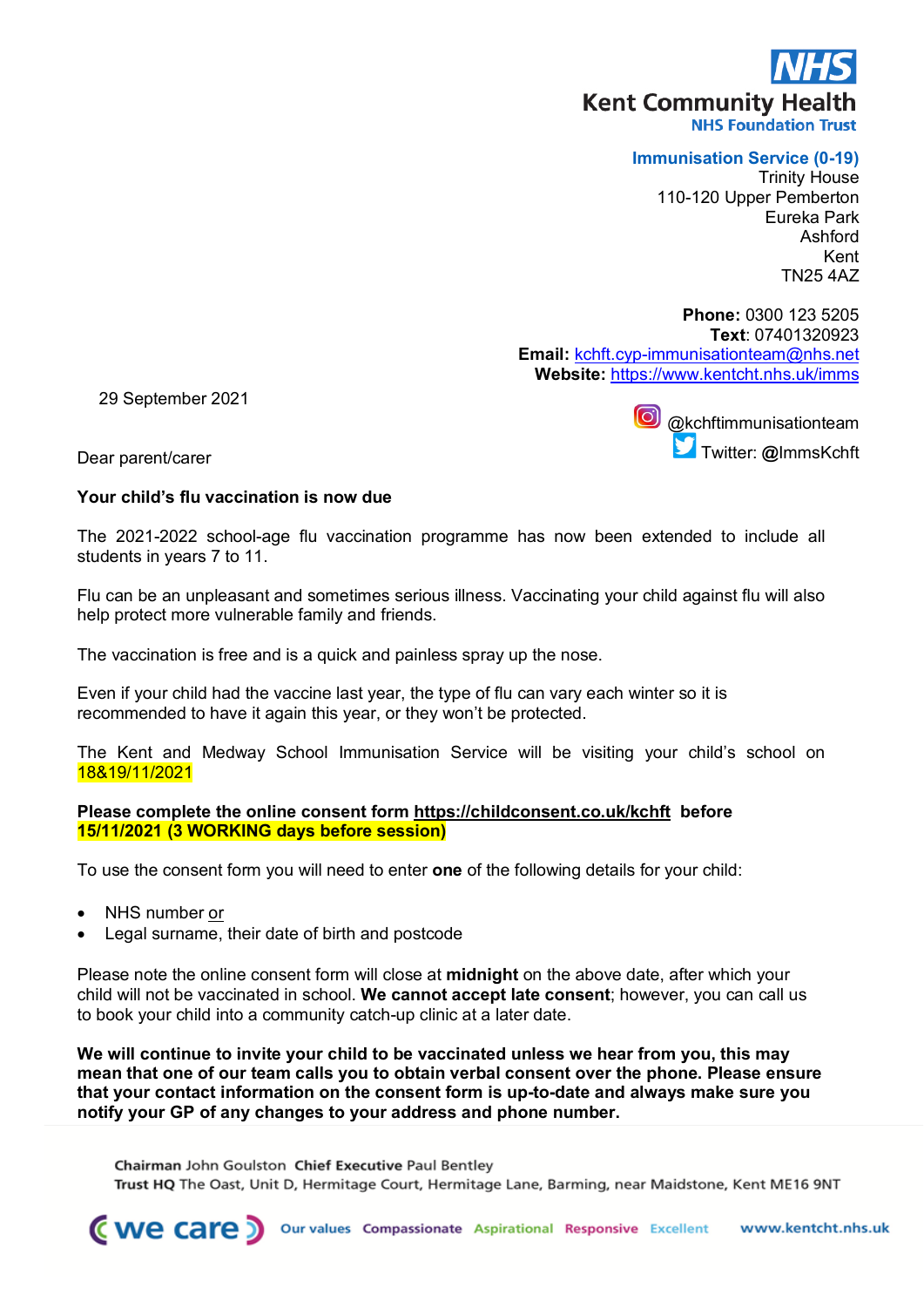# **Kent Community Health**

**NHS Foundation Trust** 

### **Immunisation Service (0-19)**

Trinity House 110-120 Upper Pemberton Eureka Park Ashford Kent TN25 4AZ

**Phone:** 0300 123 5205 **Text**: 07401320923 **Email:** kchft.cyp-immunisationteam@nhs.net **Website:** https://www.kentcht.nhs.uk/imms

29 September 2021

[@kc](https://www.twitter.com/immskchft)hftimmunisationteam Twitter: **@**ImmsKchft

Dear parent/carer

## **Your child's flu vaccination is now due**

The 2021-2022 school-age flu vaccination programme has now been extended to include all students in years 7 to 11.

Flu can be an unpleasant and sometimes serious illness. Vaccinating your child against flu will also help protect more vulnerable family and friends.

The vaccination is free and is a quick and painless spray up the nose.

Even if your child had the vaccine last year, the type of flu can vary each winter so it is recommended to have it again this year, or they won't be protected.

The Kent and Medway School Immunisation Service will be visiting your child's school on 18&19/11/2021

### **Please complete the online consent form https://childconsent.co.uk/kchft before 15/11/2021 (3 WORKING days before session)**

To use the consent form you will need to enter **one** of the following details for your child:

- NHS number or
- Legal surname, their date of birth and postcode

Please note the online consent form will close at **midnight** on the above date, after which your child will not be vaccinated in school. **We cannot accept late consent**; however, you can call us to book your child into a community catch-up clinic at a later date.

**We will continue to invite your child to be vaccinated unless we hear from you, this may mean that one of our team calls you to obtain verbal consent over the phone. Please ensure that your contact information on the consent form is up-to-date and always make sure you notify your GP of any changes to your address and phone number.**

Chairman John Goulston Chief Executive Paul Bentley Trust HQ The Oast, Unit D, Hermitage Court, Hermitage Lane, Barming, near Maidstone, Kent ME16 9NT